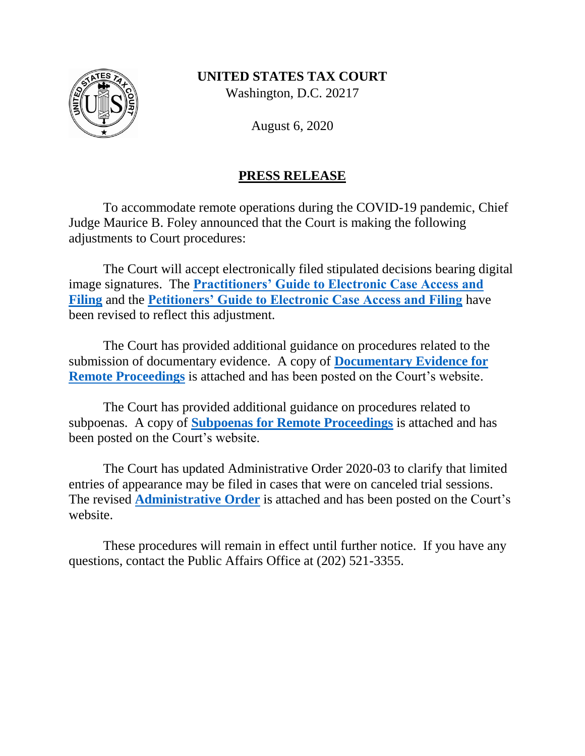

Washington, D.C. 20217

August 6, 2020

# **PRESS RELEASE**

To accommodate remote operations during the COVID-19 pandemic, Chief Judge Maurice B. Foley announced that the Court is making the following adjustments to Court procedures:

The Court will accept electronically filed stipulated decisions bearing digital image signatures. The **[Practitioners' Guide to Electronic Case Access and](https://www.ustaxcourt.gov/resources/eaccess/Practitioners_Guide_to_eAccess_and_eFiling.pdf)  [Filing](https://www.ustaxcourt.gov/resources/eaccess/Practitioners_Guide_to_eAccess_and_eFiling.pdf)** and the **[Petitioners' Guide to Electronic Case Access and Filing](https://www.ustaxcourt.gov/resources/eaccess/Petitioners_Guide_to_eAccess_and_eFiling.pdf)** have been revised to reflect this adjustment.

The Court has provided additional guidance on procedures related to the submission of documentary evidence. A copy of **[Documentary Evidence for](https://www.ustaxcourt.gov/resources/covid/documentary_evidence.pdf)  [Remote Proceedings](https://www.ustaxcourt.gov/resources/covid/documentary_evidence.pdf)** is attached and has been posted on the Court's website.

The Court has provided additional guidance on procedures related to subpoenas. A copy of **[Subpoenas for Remote Proceedings](https://www.ustaxcourt.gov/resources/zoomgov/subpoenas_for_remote_proceedings.pdf)** is attached and has been posted on the Court's website.

The Court has updated Administrative Order 2020-03 to clarify that limited entries of appearance may be filed in cases that were on canceled trial sessions. The revised **[Administrative Order](https://www.ustaxcourt.gov/resources/administrative_orders/Administrative_Order_2020-03.pdf)** is attached and has been posted on the Court's website.

These procedures will remain in effect until further notice. If you have any questions, contact the Public Affairs Office at (202) 521-3355.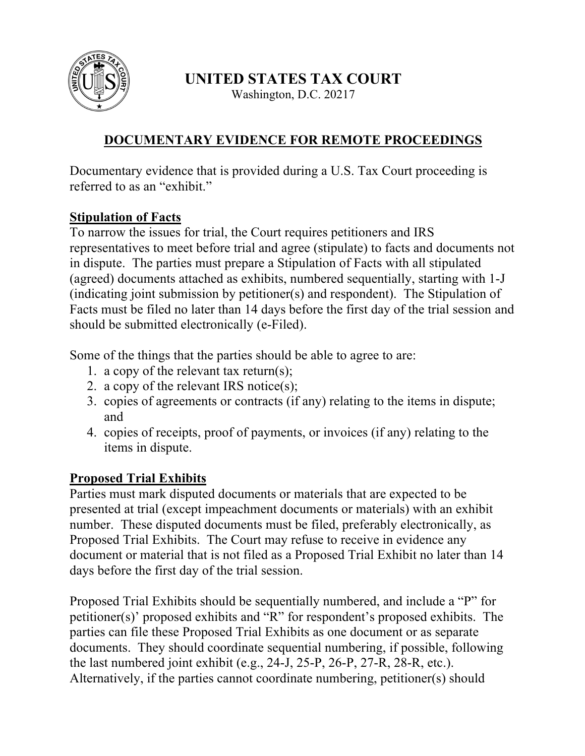

Washington, D.C. 20217

# **DOCUMENTARY EVIDENCE FOR REMOTE PROCEEDINGS**

Documentary evidence that is provided during a U.S. Tax Court proceeding is referred to as an "exhibit."

## **Stipulation of Facts**

To narrow the issues for trial, the Court requires petitioners and IRS representatives to meet before trial and agree (stipulate) to facts and documents not in dispute. The parties must prepare a Stipulation of Facts with all stipulated (agreed) documents attached as exhibits, numbered sequentially, starting with 1-J (indicating joint submission by petitioner(s) and respondent). The Stipulation of Facts must be filed no later than 14 days before the first day of the trial session and should be submitted electronically (e-Filed).

Some of the things that the parties should be able to agree to are:

- 1. a copy of the relevant tax return(s);
- 2. a copy of the relevant IRS notice(s);
- 3. copies of agreements or contracts (if any) relating to the items in dispute; and
- 4. copies of receipts, proof of payments, or invoices (if any) relating to the items in dispute.

## **Proposed Trial Exhibits**

Parties must mark disputed documents or materials that are expected to be presented at trial (except impeachment documents or materials) with an exhibit number. These disputed documents must be filed, preferably electronically, as Proposed Trial Exhibits. The Court may refuse to receive in evidence any document or material that is not filed as a Proposed Trial Exhibit no later than 14 days before the first day of the trial session.

Proposed Trial Exhibits should be sequentially numbered, and include a "P" for petitioner(s)' proposed exhibits and "R" for respondent's proposed exhibits. The parties can file these Proposed Trial Exhibits as one document or as separate documents. They should coordinate sequential numbering, if possible, following the last numbered joint exhibit (e.g., 24-J, 25-P, 26-P, 27-R, 28-R, etc.). Alternatively, if the parties cannot coordinate numbering, petitioner(s) should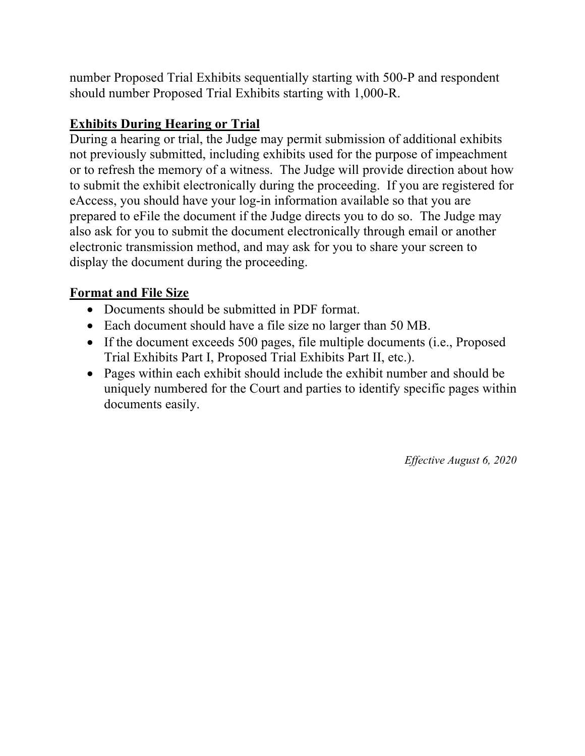number Proposed Trial Exhibits sequentially starting with 500-P and respondent should number Proposed Trial Exhibits starting with 1,000-R.

# **Exhibits During Hearing or Trial**

During a hearing or trial, the Judge may permit submission of additional exhibits not previously submitted, including exhibits used for the purpose of impeachment or to refresh the memory of a witness. The Judge will provide direction about how to submit the exhibit electronically during the proceeding. If you are registered for eAccess, you should have your log-in information available so that you are prepared to eFile the document if the Judge directs you to do so. The Judge may also ask for you to submit the document electronically through email or another electronic transmission method, and may ask for you to share your screen to display the document during the proceeding.

## **Format and File Size**

- Documents should be submitted in PDF format.
- Each document should have a file size no larger than 50 MB.
- If the document exceeds 500 pages, file multiple documents (i.e., Proposed Trial Exhibits Part I, Proposed Trial Exhibits Part II, etc.).
- Pages within each exhibit should include the exhibit number and should be uniquely numbered for the Court and parties to identify specific pages within documents easily.

*Effective August 6, 2020*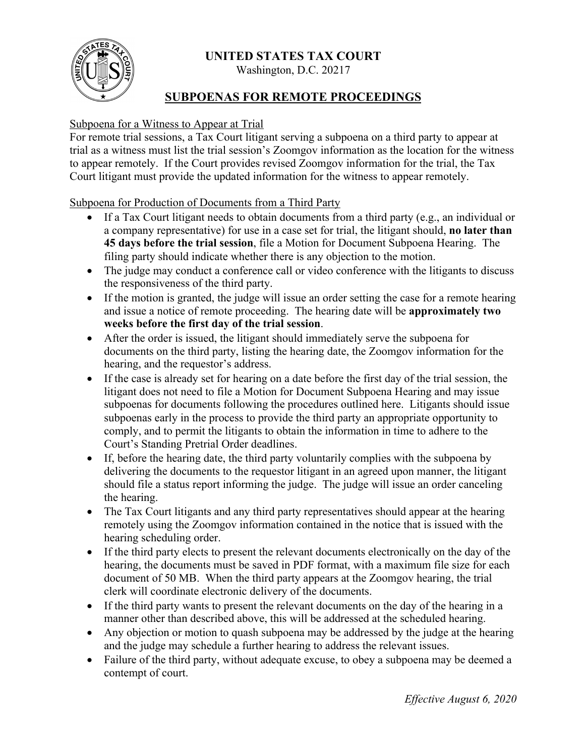

Washington, D.C. 20217

## **SUBPOENAS FOR REMOTE PROCEEDINGS**

#### Subpoena for a Witness to Appear at Trial

For remote trial sessions, a Tax Court litigant serving a subpoena on a third party to appear at trial as a witness must list the trial session's Zoomgov information as the location for the witness to appear remotely. If the Court provides revised Zoomgov information for the trial, the Tax Court litigant must provide the updated information for the witness to appear remotely.

Subpoena for Production of Documents from a Third Party

- If a Tax Court litigant needs to obtain documents from a third party (e.g., an individual or a company representative) for use in a case set for trial, the litigant should, **no later than 45 days before the trial session**, file a Motion for Document Subpoena Hearing. The filing party should indicate whether there is any objection to the motion.
- The judge may conduct a conference call or video conference with the litigants to discuss the responsiveness of the third party.
- If the motion is granted, the judge will issue an order setting the case for a remote hearing and issue a notice of remote proceeding. The hearing date will be **approximately two weeks before the first day of the trial session**.
- After the order is issued, the litigant should immediately serve the subpoena for documents on the third party, listing the hearing date, the Zoomgov information for the hearing, and the requestor's address.
- If the case is already set for hearing on a date before the first day of the trial session, the litigant does not need to file a Motion for Document Subpoena Hearing and may issue subpoenas for documents following the procedures outlined here. Litigants should issue subpoenas early in the process to provide the third party an appropriate opportunity to comply, and to permit the litigants to obtain the information in time to adhere to the Court's Standing Pretrial Order deadlines.
- If, before the hearing date, the third party voluntarily complies with the subpoena by delivering the documents to the requestor litigant in an agreed upon manner, the litigant should file a status report informing the judge. The judge will issue an order canceling the hearing.
- The Tax Court litigants and any third party representatives should appear at the hearing remotely using the Zoomgov information contained in the notice that is issued with the hearing scheduling order.
- If the third party elects to present the relevant documents electronically on the day of the hearing, the documents must be saved in PDF format, with a maximum file size for each document of 50 MB. When the third party appears at the Zoomgov hearing, the trial clerk will coordinate electronic delivery of the documents.
- If the third party wants to present the relevant documents on the day of the hearing in a manner other than described above, this will be addressed at the scheduled hearing.
- Any objection or motion to quash subpoena may be addressed by the judge at the hearing and the judge may schedule a further hearing to address the relevant issues.
- Failure of the third party, without adequate excuse, to obey a subpoena may be deemed a contempt of court.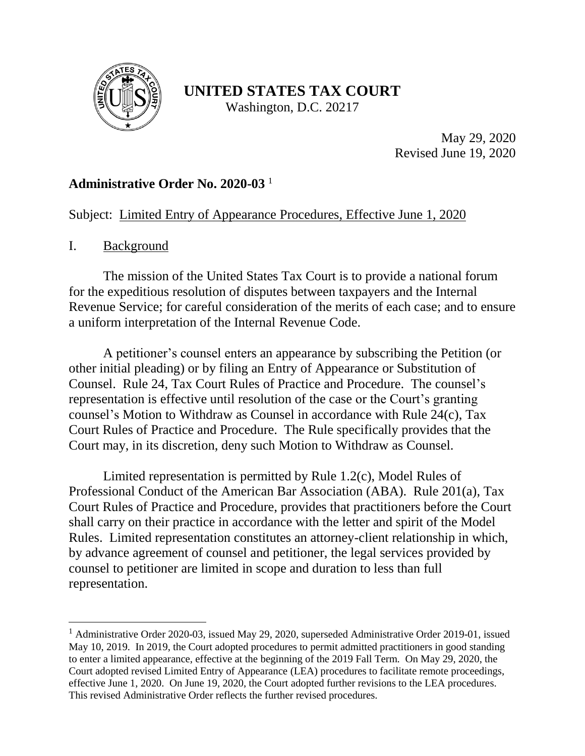

Washington, D.C. 20217

May 29, 2020 Revised June 19, 2020

## **Administrative Order No. 2020-03** 1

## Subject: Limited Entry of Appearance Procedures, Effective June 1, 2020

## I. Background

 $\overline{a}$ 

The mission of the United States Tax Court is to provide a national forum for the expeditious resolution of disputes between taxpayers and the Internal Revenue Service; for careful consideration of the merits of each case; and to ensure a uniform interpretation of the Internal Revenue Code.

A petitioner's counsel enters an appearance by subscribing the Petition (or other initial pleading) or by filing an Entry of Appearance or Substitution of Counsel. Rule 24, Tax Court Rules of Practice and Procedure. The counsel's representation is effective until resolution of the case or the Court's granting counsel's Motion to Withdraw as Counsel in accordance with Rule 24(c), Tax Court Rules of Practice and Procedure. The Rule specifically provides that the Court may, in its discretion, deny such Motion to Withdraw as Counsel.

Limited representation is permitted by Rule 1.2(c), Model Rules of Professional Conduct of the American Bar Association (ABA). Rule 201(a), Tax Court Rules of Practice and Procedure, provides that practitioners before the Court shall carry on their practice in accordance with the letter and spirit of the Model Rules. Limited representation constitutes an attorney-client relationship in which, by advance agreement of counsel and petitioner, the legal services provided by counsel to petitioner are limited in scope and duration to less than full representation.

<sup>&</sup>lt;sup>1</sup> Administrative Order 2020-03, issued May 29, 2020, superseded Administrative Order 2019-01, issued May 10, 2019. In 2019, the Court adopted procedures to permit admitted practitioners in good standing to enter a limited appearance, effective at the beginning of the 2019 Fall Term. On May 29, 2020, the Court adopted revised Limited Entry of Appearance (LEA) procedures to facilitate remote proceedings, effective June 1, 2020. On June 19, 2020, the Court adopted further revisions to the LEA procedures. This revised Administrative Order reflects the further revised procedures.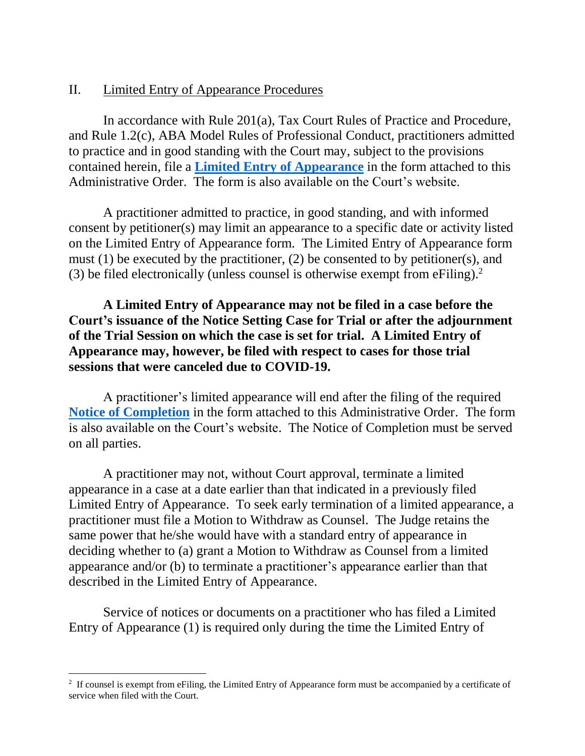## II. Limited Entry of Appearance Procedures

In accordance with Rule 201(a), Tax Court Rules of Practice and Procedure, and Rule 1.2(c), ABA Model Rules of Professional Conduct, practitioners admitted to practice and in good standing with the Court may, subject to the provisions contained herein, file a **[Limited Entry of Appearance](https://www.ustaxcourt.gov/forms/Limited_Entry_of_Appearance.pdf)** in the form attached to this Administrative Order. The form is also available on the Court's website.

A practitioner admitted to practice, in good standing, and with informed consent by petitioner(s) may limit an appearance to a specific date or activity listed on the Limited Entry of Appearance form. The Limited Entry of Appearance form must (1) be executed by the practitioner, (2) be consented to by petitioner(s), and (3) be filed electronically (unless counsel is otherwise exempt from eFiling).<sup>2</sup>

## **A Limited Entry of Appearance may not be filed in a case before the Court's issuance of the Notice Setting Case for Trial or after the adjournment of the Trial Session on which the case is set for trial. A Limited Entry of Appearance may, however, be filed with respect to cases for those trial sessions that were canceled due to COVID-19.**

A practitioner's limited appearance will end after the filing of the required **[Notice of Completion](https://www.ustaxcourt.gov/forms/Notice_of_Completion_LEA.pdf)** in the form attached to this Administrative Order. The form is also available on the Court's website. The Notice of Completion must be served on all parties.

A practitioner may not, without Court approval, terminate a limited appearance in a case at a date earlier than that indicated in a previously filed Limited Entry of Appearance. To seek early termination of a limited appearance, a practitioner must file a Motion to Withdraw as Counsel. The Judge retains the same power that he/she would have with a standard entry of appearance in deciding whether to (a) grant a Motion to Withdraw as Counsel from a limited appearance and/or (b) to terminate a practitioner's appearance earlier than that described in the Limited Entry of Appearance.

Service of notices or documents on a practitioner who has filed a Limited Entry of Appearance (1) is required only during the time the Limited Entry of

 $\overline{a}$ 

<sup>&</sup>lt;sup>2</sup> If counsel is exempt from eFiling, the Limited Entry of Appearance form must be accompanied by a certificate of service when filed with the Court.